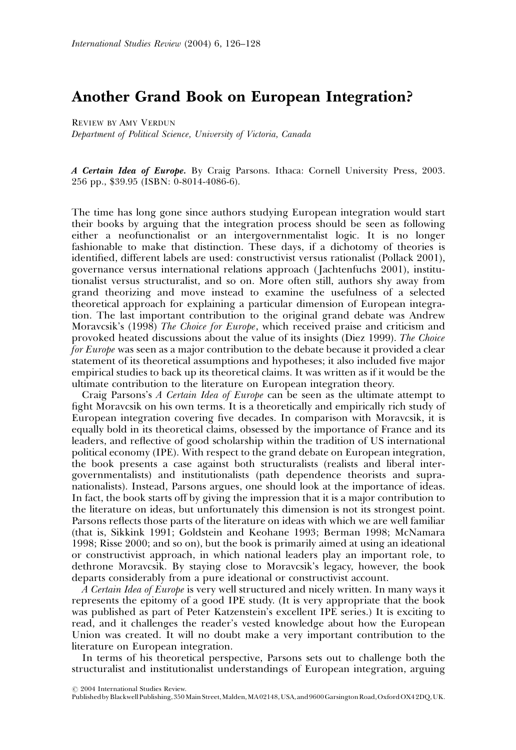## Another Grand Book on European Integration?

REVIEW BY AMY VERDUN Department of Political Science, University of Victoria, Canada

A Certain Idea of Europe. By Craig Parsons. Ithaca: Cornell University Press, 2003. 256 pp., \$39.95 (ISBN: 0-8014-4086-6).

The time has long gone since authors studying European integration would start their books by arguing that the integration process should be seen as following either a neofunctionalist or an intergovernmentalist logic. It is no longer fashionable to make that distinction. These days, if a dichotomy of theories is identified, different labels are used: constructivist versus rationalist (Pollack 2001), governance versus international relations approach ( Jachtenfuchs 2001), institutionalist versus structuralist, and so on. More often still, authors shy away from grand theorizing and move instead to examine the usefulness of a selected theoretical approach for explaining a particular dimension of European integration. The last important contribution to the original grand debate was Andrew Moravcsik's (1998) The Choice for Europe, which received praise and criticism and provoked heated discussions about the value of its insights (Diez 1999). The Choice for Europe was seen as a major contribution to the debate because it provided a clear statement of its theoretical assumptions and hypotheses; it also included five major empirical studies to back up its theoretical claims. It was written as if it would be the ultimate contribution to the literature on European integration theory.

Craig Parsons's A Certain Idea of Europe can be seen as the ultimate attempt to fight Moravcsik on his own terms. It is a theoretically and empirically rich study of European integration covering five decades. In comparison with Moravcsik, it is equally bold in its theoretical claims, obsessed by the importance of France and its leaders, and reflective of good scholarship within the tradition of US international political economy (IPE). With respect to the grand debate on European integration, the book presents a case against both structuralists (realists and liberal intergovernmentalists) and institutionalists (path dependence theorists and supranationalists). Instead, Parsons argues, one should look at the importance of ideas. In fact, the book starts off by giving the impression that it is a major contribution to the literature on ideas, but unfortunately this dimension is not its strongest point. Parsons reflects those parts of the literature on ideas with which we are well familiar (that is, Sikkink 1991; Goldstein and Keohane 1993; Berman 1998; McNamara 1998; Risse 2000; and so on), but the book is primarily aimed at using an ideational or constructivist approach, in which national leaders play an important role, to dethrone Moravcsik. By staying close to Moravcsik's legacy, however, the book departs considerably from a pure ideational or constructivist account.

A Certain Idea of Europe is very well structured and nicely written. In many ways it represents the epitomy of a good IPE study. (It is very appropriate that the book was published as part of Peter Katzenstein's excellent IPE series.) It is exciting to read, and it challenges the reader's vested knowledge about how the European Union was created. It will no doubt make a very important contribution to the literature on European integration.

In terms of his theoretical perspective, Parsons sets out to challenge both the structuralist and institutionalist understandings of European integration, arguing

 $O$  2004 International Studies Review.

Published by Blackwell Publishing, 350 Main Street, Malden, MA 02148, USA, and 9600 Garsington Road, Oxford OX4 2DQ, UK.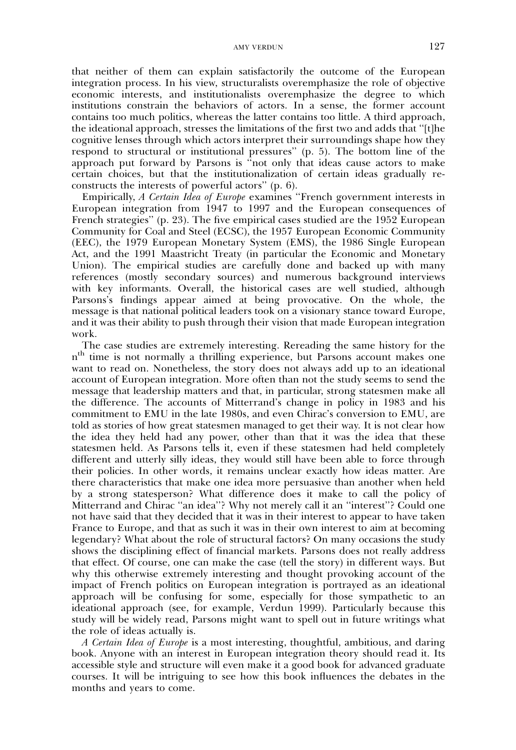that neither of them can explain satisfactorily the outcome of the European integration process. In his view, structuralists overemphasize the role of objective economic interests, and institutionalists overemphasize the degree to which institutions constrain the behaviors of actors. In a sense, the former account contains too much politics, whereas the latter contains too little. A third approach, the ideational approach, stresses the limitations of the first two and adds that ''[t]he cognitive lenses through which actors interpret their surroundings shape how they respond to structural or institutional pressures'' (p. 5). The bottom line of the approach put forward by Parsons is ''not only that ideas cause actors to make certain choices, but that the institutionalization of certain ideas gradually reconstructs the interests of powerful actors'' (p. 6).

Empirically, A Certain Idea of Europe examines "French government interests in European integration from 1947 to 1997 and the European consequences of French strategies'' (p. 23). The five empirical cases studied are the 1952 European Community for Coal and Steel (ECSC), the 1957 European Economic Community (EEC), the 1979 European Monetary System (EMS), the 1986 Single European Act, and the 1991 Maastricht Treaty (in particular the Economic and Monetary Union). The empirical studies are carefully done and backed up with many references (mostly secondary sources) and numerous background interviews with key informants. Overall, the historical cases are well studied, although Parsons's findings appear aimed at being provocative. On the whole, the message is that national political leaders took on a visionary stance toward Europe, and it was their ability to push through their vision that made European integration work.

The case studies are extremely interesting. Rereading the same history for the nth time is not normally a thrilling experience, but Parsons account makes one want to read on. Nonetheless, the story does not always add up to an ideational account of European integration. More often than not the study seems to send the message that leadership matters and that, in particular, strong statesmen make all the difference. The accounts of Mitterrand's change in policy in 1983 and his commitment to EMU in the late 1980s, and even Chirac's conversion to EMU, are told as stories of how great statesmen managed to get their way. It is not clear how the idea they held had any power, other than that it was the idea that these statesmen held. As Parsons tells it, even if these statesmen had held completely different and utterly silly ideas, they would still have been able to force through their policies. In other words, it remains unclear exactly how ideas matter. Are there characteristics that make one idea more persuasive than another when held by a strong statesperson? What difference does it make to call the policy of Mitterrand and Chirac ''an idea''? Why not merely call it an ''interest''? Could one not have said that they decided that it was in their interest to appear to have taken France to Europe, and that as such it was in their own interest to aim at becoming legendary? What about the role of structural factors? On many occasions the study shows the disciplining effect of financial markets. Parsons does not really address that effect. Of course, one can make the case (tell the story) in different ways. But why this otherwise extremely interesting and thought provoking account of the impact of French politics on European integration is portrayed as an ideational approach will be confusing for some, especially for those sympathetic to an ideational approach (see, for example, Verdun 1999). Particularly because this study will be widely read, Parsons might want to spell out in future writings what the role of ideas actually is.

A Certain Idea of Europe is a most interesting, thoughtful, ambitious, and daring book. Anyone with an interest in European integration theory should read it. Its accessible style and structure will even make it a good book for advanced graduate courses. It will be intriguing to see how this book influences the debates in the months and years to come.